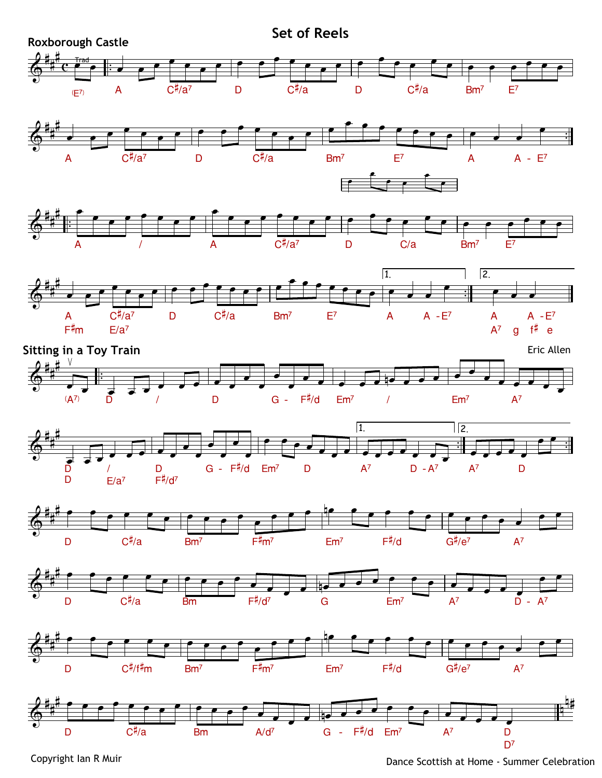

Copyright Ian R Muir

Dance Scottish at Home - Summer Celebration